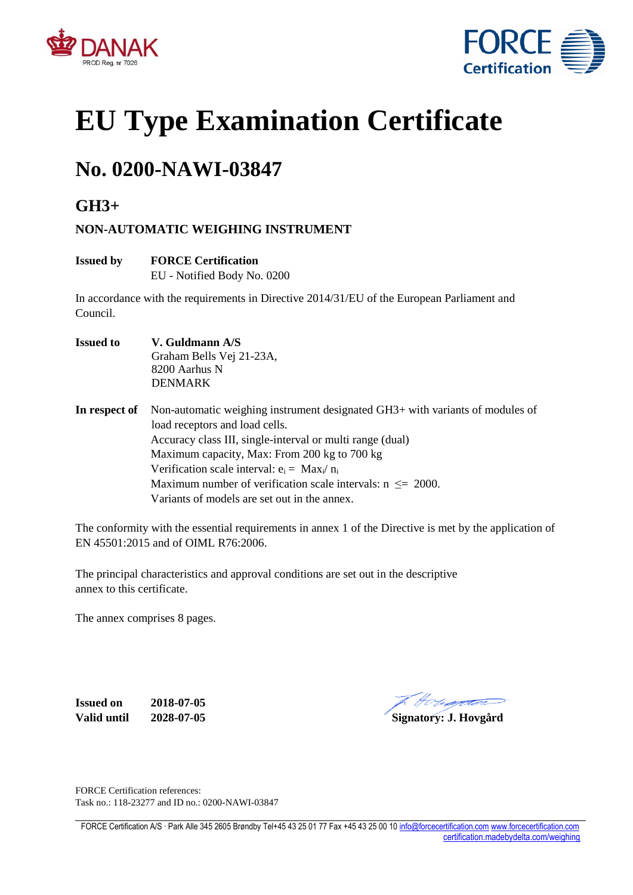



# **EU Type Examination Certificate**

# **No. 0200-NAWI-03847**

**GH3+**

#### **NON-AUTOMATIC WEIGHING INSTRUMENT**

#### **Issued by FORCE Certification**

EU - Notified Body No. 0200

In accordance with the requirements in Directive 2014/31/EU of the European Parliament and Council.

- **Issued to V. Guldmann A/S** Graham Bells Vej 21-23A, 8200 Aarhus N DENMARK
- **In respect of** Non-automatic weighing instrument designated GH3+ with variants of modules of load receptors and load cells. Accuracy class III, single-interval or multi range (dual) Maximum capacity, Max: From 200 kg to 700 kg Verification scale interval:  $e_i = Max_i/n_i$ Maximum number of verification scale intervals:  $n \leq 2000$ . Variants of models are set out in the annex.

The conformity with the essential requirements in annex 1 of the Directive is met by the application of EN 45501:2015 and of OIML R76:2006.

The principal characteristics and approval conditions are set out in the descriptive annex to this certificate.

The annex comprises 8 pages.

**Issued on 2018-07-05 Valid until 2028-07-05 Signatory: J. Hovgård**

The Houssetter

FORCE Certification references: Task no.: 118-23277 and ID no.: 0200-NAWI-03847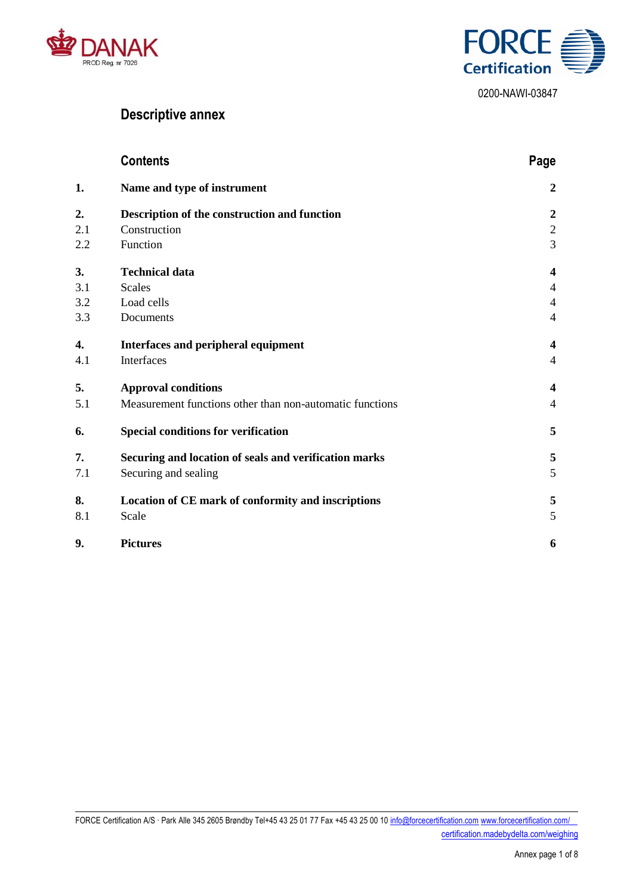



# **Descriptive annex**

|     | <b>Contents</b>                                          | Page                    |
|-----|----------------------------------------------------------|-------------------------|
| 1.  | Name and type of instrument                              | $\boldsymbol{2}$        |
| 2.  | Description of the construction and function             | $\boldsymbol{2}$        |
| 2.1 | Construction                                             | $\sqrt{2}$              |
| 2.2 | Function                                                 | 3                       |
| 3.  | <b>Technical data</b>                                    | $\overline{\mathbf{4}}$ |
| 3.1 | <b>Scales</b>                                            | $\overline{4}$          |
| 3.2 | Load cells                                               | $\overline{4}$          |
| 3.3 | Documents                                                | $\overline{4}$          |
| 4.  | Interfaces and peripheral equipment                      | $\overline{\mathbf{4}}$ |
| 4.1 | Interfaces                                               | 4                       |
| 5.  | <b>Approval conditions</b>                               | $\overline{\mathbf{4}}$ |
| 5.1 | Measurement functions other than non-automatic functions | $\overline{4}$          |
| 6.  | <b>Special conditions for verification</b>               | 5                       |
| 7.  | Securing and location of seals and verification marks    | 5                       |
| 7.1 | Securing and sealing                                     | 5                       |
| 8.  | Location of CE mark of conformity and inscriptions       | $\sqrt{5}$              |
| 8.1 | Scale                                                    | 5                       |
| 9.  | <b>Pictures</b>                                          | 6                       |

FORCE Certification A/S · Park Alle 345 2605 Brøndby Tel+45 43 25 01 77 Fax +45 43 25 00 1[0 info@forcecertification.com](mailto:info@forcecertification.com) [www.forcecertification.com/](http://www.forcecertification.com/) [certification.madebydelta.com/weighing](http://certification.madebydelta.com/weighing)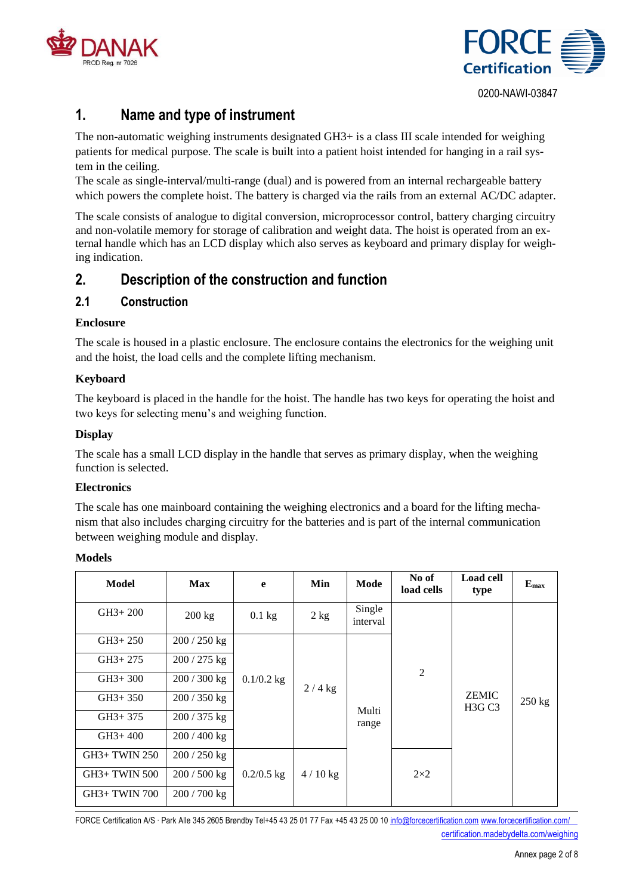



# <span id="page-2-0"></span>**1. Name and type of instrument**

The non-automatic weighing instruments designated GH3+ is a class III scale intended for weighing patients for medical purpose. The scale is built into a patient hoist intended for hanging in a rail system in the ceiling.

The scale as single-interval/multi-range (dual) and is powered from an internal rechargeable battery which powers the complete hoist. The battery is charged via the rails from an external AC/DC adapter.

The scale consists of analogue to digital conversion, microprocessor control, battery charging circuitry and non-volatile memory for storage of calibration and weight data. The hoist is operated from an external handle which has an LCD display which also serves as keyboard and primary display for weighing indication.

## <span id="page-2-1"></span>**2. Description of the construction and function**

#### <span id="page-2-2"></span>**2.1 Construction**

#### **Enclosure**

The scale is housed in a plastic enclosure. The enclosure contains the electronics for the weighing unit and the hoist, the load cells and the complete lifting mechanism.

#### **Keyboard**

The keyboard is placed in the handle for the hoist. The handle has two keys for operating the hoist and two keys for selecting menu's and weighing function.

#### **Display**

The scale has a small LCD display in the handle that serves as primary display, when the weighing function is selected.

#### **Electronics**

The scale has one mainboard containing the weighing electronics and a board for the lifting mechanism that also includes charging circuitry for the batteries and is part of the internal communication between weighing module and display.

#### **Models**

| <b>Model</b>         | <b>Max</b>       | e            | Min       | Mode               | No of<br>load cells | <b>Load cell</b><br>type                        | $E_{\rm max}$ |
|----------------------|------------------|--------------|-----------|--------------------|---------------------|-------------------------------------------------|---------------|
| $GH3+200$            | $200 \text{ kg}$ | $0.1$ kg     | 2 kg      | Single<br>interval |                     |                                                 |               |
| $GH3+250$            | $200 / 250$ kg   |              |           |                    |                     |                                                 |               |
| $GH3+275$            | $200 / 275$ kg   |              |           |                    |                     |                                                 |               |
| $GH3+300$            | $200/300$ kg     | $0.1/0.2$ kg | $2/4$ kg  |                    | 2                   |                                                 |               |
| $GH3+350$            | $200/350$ kg     |              |           |                    |                     | <b>ZEMIC</b><br>H <sub>3</sub> G C <sub>3</sub> | $250$ kg      |
| $GH3+375$            | $200/375$ kg     |              |           | Multi<br>range     |                     |                                                 |               |
| $GH3+400$            | $200/400$ kg     |              |           |                    |                     |                                                 |               |
| GH3+ TWIN 250        | $200/250$ kg     |              |           |                    |                     |                                                 |               |
| <b>GH3+ TWIN 500</b> | $200/500$ kg     | $0.2/0.5$ kg | $4/10$ kg |                    | $2\times2$          |                                                 |               |
| GH3+ TWIN 700        | $200/700$ kg     |              |           |                    |                     |                                                 |               |

FORCE Certification A/S · Park Alle 345 2605 Brøndby Tel+45 43 25 01 77 Fax +45 43 25 00 1[0 info@forcecertification.com](mailto:info@forcecertification.com) [www.forcecertification.com/](http://www.forcecertification.com/) [certification.madebydelta.com/weighing](http://certification.madebydelta.com/weighing)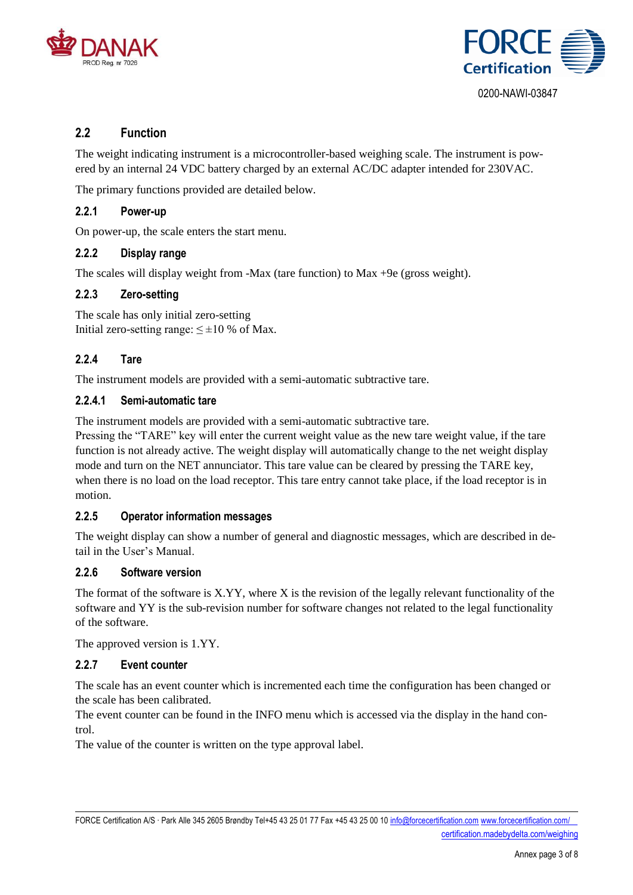



#### <span id="page-3-0"></span>**2.2 Function**

The weight indicating instrument is a microcontroller-based weighing scale. The instrument is powered by an internal 24 VDC battery charged by an external AC/DC adapter intended for 230VAC.

The primary functions provided are detailed below.

#### **2.2.1 Power-up**

On power-up, the scale enters the start menu.

#### **2.2.2 Display range**

The scales will display weight from -Max (tare function) to Max +9e (gross weight).

#### **2.2.3 Zero-setting**

The scale has only initial zero-setting Initial zero-setting range:  $\leq \pm 10$  % of Max.

#### **2.2.4 Tare**

The instrument models are provided with a semi-automatic subtractive tare.

#### **2.2.4.1 Semi-automatic tare**

The instrument models are provided with a semi-automatic subtractive tare.

Pressing the "TARE" key will enter the current weight value as the new tare weight value, if the tare function is not already active. The weight display will automatically change to the net weight display mode and turn on the NET annunciator. This tare value can be cleared by pressing the TARE key, when there is no load on the load receptor. This tare entry cannot take place, if the load receptor is in motion.

#### **2.2.5 Operator information messages**

The weight display can show a number of general and diagnostic messages, which are described in detail in the User's Manual.

#### **2.2.6 Software version**

The format of the software is X.YY, where X is the revision of the legally relevant functionality of the software and YY is the sub-revision number for software changes not related to the legal functionality of the software.

The approved version is 1.YY.

#### **2.2.7 Event counter**

The scale has an event counter which is incremented each time the configuration has been changed or the scale has been calibrated.

The event counter can be found in the INFO menu which is accessed via the display in the hand control.

The value of the counter is written on the type approval label.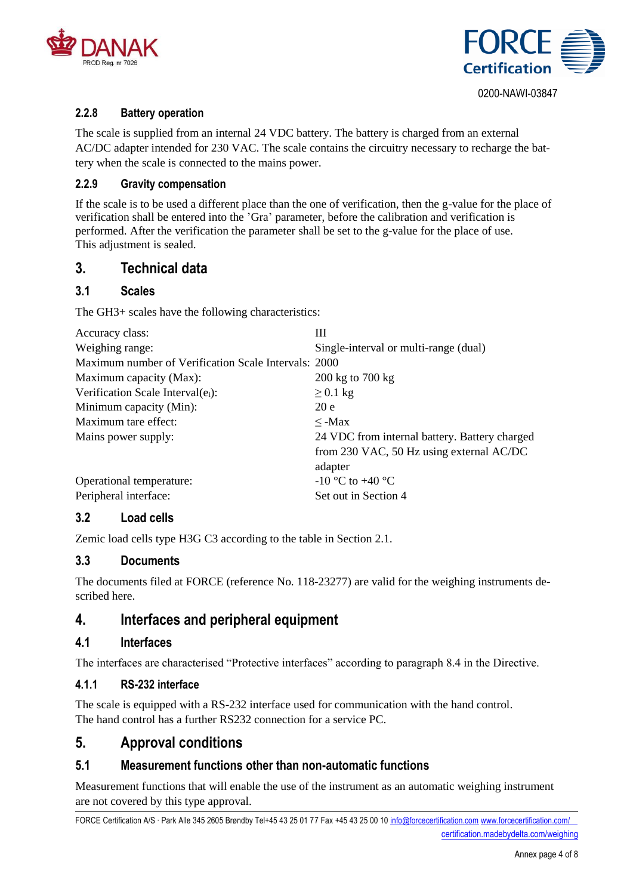



#### **2.2.8 Battery operation**

The scale is supplied from an internal 24 VDC battery. The battery is charged from an external AC/DC adapter intended for 230 VAC. The scale contains the circuitry necessary to recharge the battery when the scale is connected to the mains power.

#### **2.2.9 Gravity compensation**

If the scale is to be used a different place than the one of verification, then the g-value for the place of verification shall be entered into the 'Gra' parameter, before the calibration and verification is performed. After the verification the parameter shall be set to the g-value for the place of use. This adjustment is sealed.

#### <span id="page-4-0"></span>**3. Technical data**

#### <span id="page-4-1"></span>**3.1 Scales**

The GH3+ scales have the following characteristics:

| Accuracy class:                                      | Ш                                             |
|------------------------------------------------------|-----------------------------------------------|
| Weighing range:                                      | Single-interval or multi-range (dual)         |
| Maximum number of Verification Scale Intervals: 2000 |                                               |
| Maximum capacity (Max):                              | $200 \text{ kg}$ to $700 \text{ kg}$          |
| Verification Scale Interval $(e_i)$ :                | $\geq$ 0.1 kg                                 |
| Minimum capacity (Min):                              | 20e                                           |
| Maximum tare effect:                                 | $\leq$ -Max                                   |
| Mains power supply:                                  | 24 VDC from internal battery. Battery charged |
|                                                      | from 230 VAC, 50 Hz using external AC/DC      |
|                                                      | adapter                                       |
| Operational temperature:                             | $-10$ °C to $+40$ °C                          |
| Peripheral interface:                                | Set out in Section 4                          |
|                                                      |                                               |

#### <span id="page-4-2"></span>**3.2 Load cells**

Zemic load cells type H3G C3 according to the table in Section 2.1.

#### <span id="page-4-3"></span>**3.3 Documents**

The documents filed at FORCE (reference No. 118-23277) are valid for the weighing instruments described here.

## <span id="page-4-4"></span>**4. Interfaces and peripheral equipment**

#### <span id="page-4-5"></span>**4.1 Interfaces**

The interfaces are characterised "Protective interfaces" according to paragraph 8.4 in the Directive.

#### **4.1.1 RS-232 interface**

The scale is equipped with a RS-232 interface used for communication with the hand control. The hand control has a further RS232 connection for a service PC.

#### <span id="page-4-6"></span>**5. Approval conditions**

#### <span id="page-4-7"></span>**5.1 Measurement functions other than non-automatic functions**

Measurement functions that will enable the use of the instrument as an automatic weighing instrument are not covered by this type approval.

FORCE Certification A/S · Park Alle 345 2605 Brøndby Tel+45 43 25 01 77 Fax +45 43 25 00 1[0 info@forcecertification.com](mailto:info@forcecertification.com) [www.forcecertification.com/](http://www.forcecertification.com/) [certification.madebydelta.com/weighing](http://certification.madebydelta.com/weighing)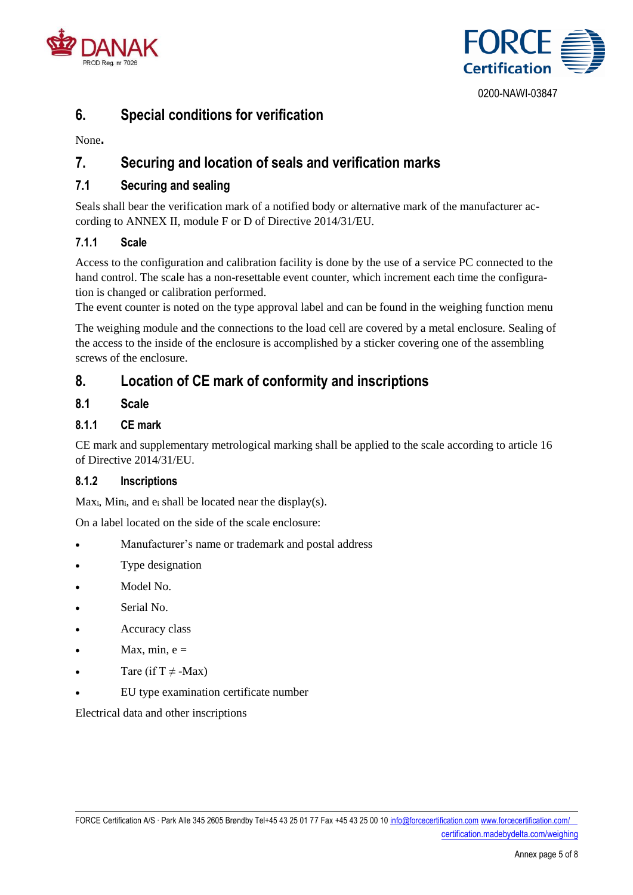



# <span id="page-5-0"></span>**6. Special conditions for verification**

None**.**

# <span id="page-5-1"></span>**7. Securing and location of seals and verification marks**

#### <span id="page-5-2"></span>**7.1 Securing and sealing**

Seals shall bear the verification mark of a notified body or alternative mark of the manufacturer according to ANNEX II, module F or D of Directive 2014/31/EU.

#### **7.1.1 Scale**

Access to the configuration and calibration facility is done by the use of a service PC connected to the hand control. The scale has a non-resettable event counter, which increment each time the configuration is changed or calibration performed.

The event counter is noted on the type approval label and can be found in the weighing function menu

The weighing module and the connections to the load cell are covered by a metal enclosure. Sealing of the access to the inside of the enclosure is accomplished by a sticker covering one of the assembling screws of the enclosure.

# <span id="page-5-3"></span>**8. Location of CE mark of conformity and inscriptions**

#### <span id="page-5-4"></span>**8.1 Scale**

#### **8.1.1 CE mark**

CE mark and supplementary metrological marking shall be applied to the scale according to article 16 of Directive 2014/31/EU.

#### **8.1.2 Inscriptions**

 $Max_i$ , Min<sub>i</sub>, and  $e_i$  shall be located near the display(s).

On a label located on the side of the scale enclosure:

- Manufacturer's name or trademark and postal address
- Type designation
- Model No.
- Serial No.
- Accuracy class
- Max, min,  $e =$
- Tare (if  $T \neq -Max$ )
- EU type examination certificate number

Electrical data and other inscriptions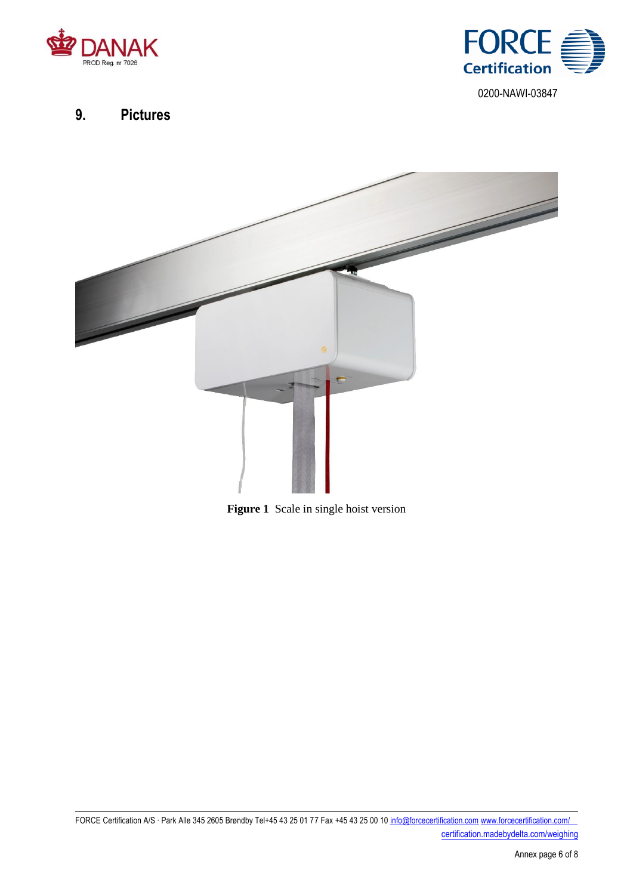



# <span id="page-6-0"></span>**9. Pictures**



**Figure 1** Scale in single hoist version

FORCE Certification A/S · Park Alle 345 2605 Brøndby Tel+45 43 25 01 77 Fax +45 43 25 00 1[0 info@forcecertification.com](mailto:info@forcecertification.com) [www.forcecertification.com/](http://www.forcecertification.com/) [certification.madebydelta.com/weighing](http://certification.madebydelta.com/weighing)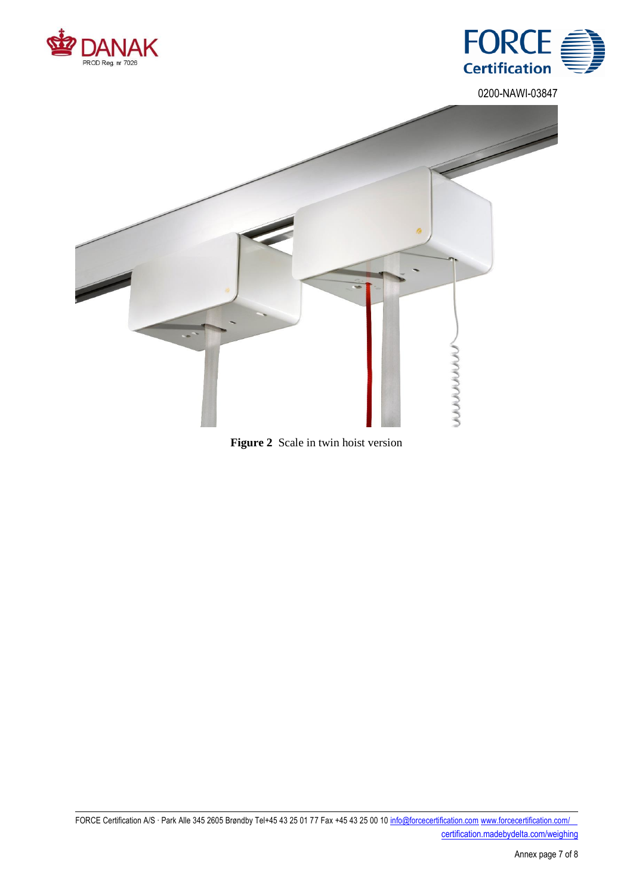





**Figure 2** Scale in twin hoist version

FORCE Certification A/S · Park Alle 345 2605 Brøndby Tel+45 43 25 01 77 Fax +45 43 25 00 1[0 info@forcecertification.com](mailto:info@forcecertification.com) [www.forcecertification.com/](http://www.forcecertification.com/) [certification.madebydelta.com/weighing](http://certification.madebydelta.com/weighing)